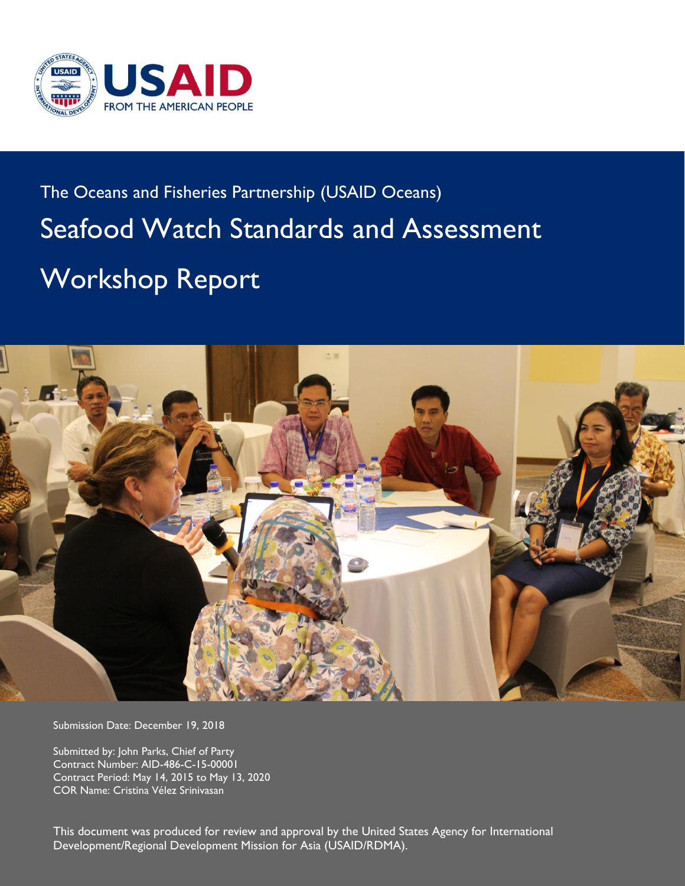

# The Oceans and Fisheries Partnership (USAID Oceans) Seafood Watch Standards and Assessment Workshop Report



Submission Date: December 19, 2018

Submitted by: John Parks, Chief of Party Contract Number: AID-486-C-15-00001 Contract Period: May 14, 2015 to May 13, 2020 COR Name: Cristina Vélez Srinivasan

This document was produced for review and approval by the United States Agency for International<br>Development/Decisional Development Minited for Asia (USAID/DDMA) Development/Regional Development Mission for Asia (USAID/RDMA).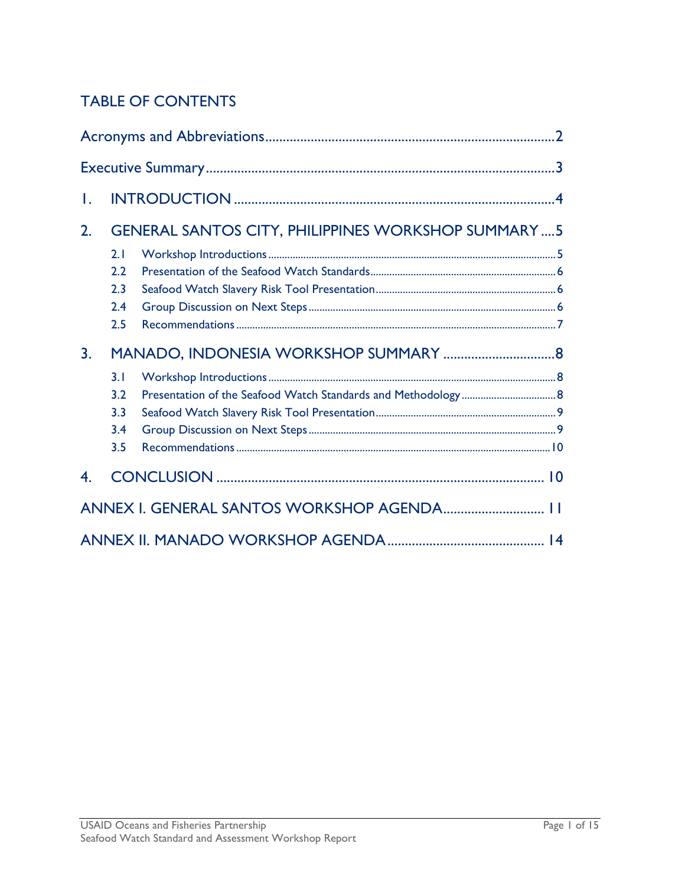## TABLE OF CONTENTS

| Τ. |     |                                                           |  |
|----|-----|-----------------------------------------------------------|--|
| 2. |     | <b>GENERAL SANTOS CITY, PHILIPPINES WORKSHOP SUMMARY5</b> |  |
|    | 2.1 |                                                           |  |
|    | 2.2 |                                                           |  |
|    | 2.3 |                                                           |  |
|    | 2.4 |                                                           |  |
|    | 2.5 |                                                           |  |
| 3. |     |                                                           |  |
|    | 3.1 |                                                           |  |
|    | 3.2 |                                                           |  |
|    | 3.3 |                                                           |  |
|    | 3.4 |                                                           |  |
|    | 3.5 |                                                           |  |
| 4. |     |                                                           |  |
|    |     | ANNEX I. GENERAL SANTOS WORKSHOP AGENDA 11                |  |
|    |     |                                                           |  |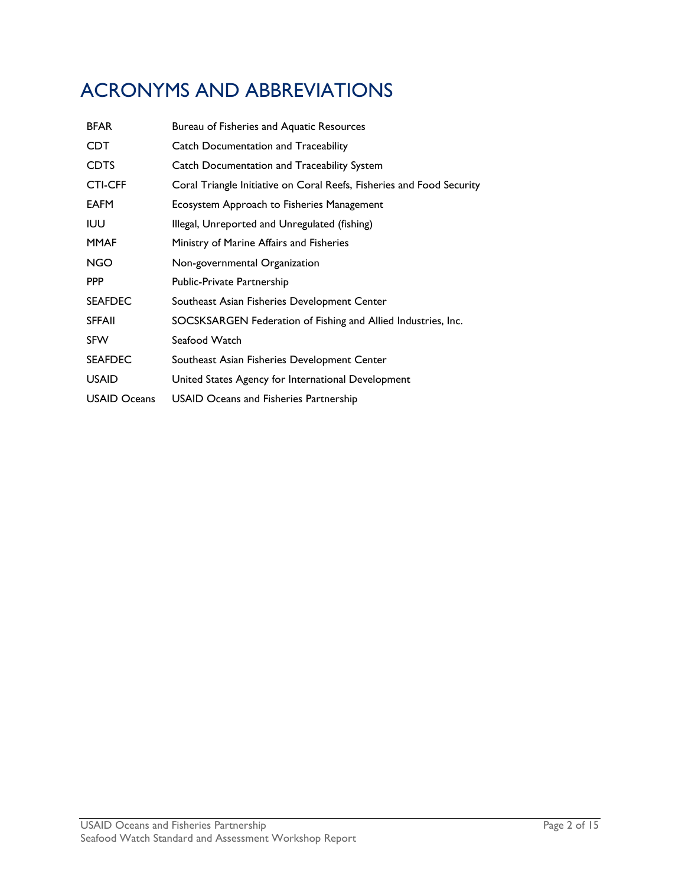## <span id="page-3-0"></span>ACRONYMS AND ABBREVIATIONS

| <b>BFAR</b>         | Bureau of Fisheries and Aquatic Resources                             |  |  |
|---------------------|-----------------------------------------------------------------------|--|--|
| CDT                 | <b>Catch Documentation and Traceability</b>                           |  |  |
| <b>CDTS</b>         | Catch Documentation and Traceability System                           |  |  |
| <b>CTI-CFF</b>      | Coral Triangle Initiative on Coral Reefs, Fisheries and Food Security |  |  |
| <b>EAFM</b>         | Ecosystem Approach to Fisheries Management                            |  |  |
| <b>IUU</b>          | Illegal, Unreported and Unregulated (fishing)                         |  |  |
| <b>MMAF</b>         | Ministry of Marine Affairs and Fisheries                              |  |  |
| NGO                 | Non-governmental Organization                                         |  |  |
| <b>PPP</b>          | Public-Private Partnership                                            |  |  |
| <b>SEAFDEC</b>      | Southeast Asian Fisheries Development Center                          |  |  |
| <b>SFFAII</b>       | SOCSKSARGEN Federation of Fishing and Allied Industries, Inc.         |  |  |
| <b>SFW</b>          | Seafood Watch                                                         |  |  |
| <b>SEAFDEC</b>      | Southeast Asian Fisheries Development Center                          |  |  |
| <b>USAID</b>        | United States Agency for International Development                    |  |  |
| <b>USAID Oceans</b> | <b>USAID Oceans and Fisheries Partnership</b>                         |  |  |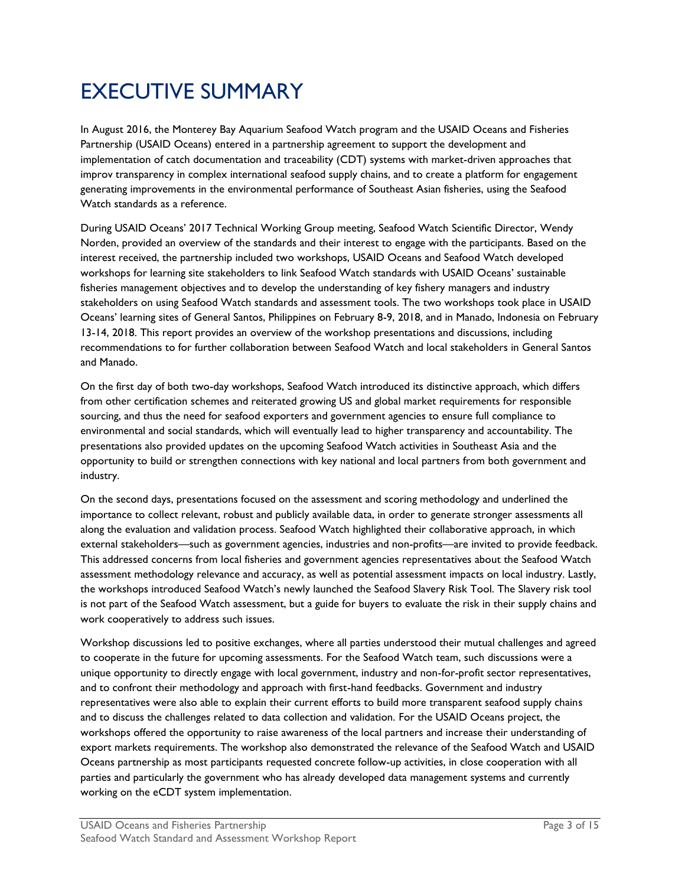## <span id="page-4-0"></span>EXECUTIVE SUMMARY

In August 2016, the Monterey Bay Aquarium Seafood Watch program and the USAID Oceans and Fisheries Partnership (USAID Oceans) entered in a partnership agreement to support the development and implementation of catch documentation and traceability (CDT) systems with market-driven approaches that improv transparency in complex international seafood supply chains, and to create a platform for engagement generating improvements in the environmental performance of Southeast Asian fisheries, using the Seafood Watch standards as a reference.

During USAID Oceans' 2017 Technical Working Group meeting, Seafood Watch Scientific Director, Wendy Norden, provided an overview of the standards and their interest to engage with the participants. Based on the interest received, the partnership included two workshops, USAID Oceans and Seafood Watch developed workshops for learning site stakeholders to link Seafood Watch standards with USAID Oceans' sustainable fisheries management objectives and to develop the understanding of key fishery managers and industry stakeholders on using Seafood Watch standards and assessment tools. The two workshops took place in USAID Oceans' learning sites of General Santos, Philippines on February 8-9, 2018, and in Manado, Indonesia on February 13-14, 2018. This report provides an overview of the workshop presentations and discussions, including recommendations to for further collaboration between Seafood Watch and local stakeholders in General Santos and Manado.

On the first day of both two-day workshops, Seafood Watch introduced its distinctive approach, which differs from other certification schemes and reiterated growing US and global market requirements for responsible sourcing, and thus the need for seafood exporters and government agencies to ensure full compliance to environmental and social standards, which will eventually lead to higher transparency and accountability. The presentations also provided updates on the upcoming Seafood Watch activities in Southeast Asia and the opportunity to build or strengthen connections with key national and local partners from both government and industry.

On the second days, presentations focused on the assessment and scoring methodology and underlined the importance to collect relevant, robust and publicly available data, in order to generate stronger assessments all along the evaluation and validation process. Seafood Watch highlighted their collaborative approach, in which external stakeholders—such as government agencies, industries and non-profits—are invited to provide feedback. This addressed concerns from local fisheries and government agencies representatives about the Seafood Watch assessment methodology relevance and accuracy, as well as potential assessment impacts on local industry. Lastly, the workshops introduced Seafood Watch's newly launched the Seafood Slavery Risk Tool. The Slavery risk tool is not part of the Seafood Watch assessment, but a guide for buyers to evaluate the risk in their supply chains and work cooperatively to address such issues.

Workshop discussions led to positive exchanges, where all parties understood their mutual challenges and agreed to cooperate in the future for upcoming assessments. For the Seafood Watch team, such discussions were a unique opportunity to directly engage with local government, industry and non-for-profit sector representatives, and to confront their methodology and approach with first-hand feedbacks. Government and industry representatives were also able to explain their current efforts to build more transparent seafood supply chains and to discuss the challenges related to data collection and validation. For the USAID Oceans project, the workshops offered the opportunity to raise awareness of the local partners and increase their understanding of export markets requirements. The workshop also demonstrated the relevance of the Seafood Watch and USAID Oceans partnership as most participants requested concrete follow-up activities, in close cooperation with all parties and particularly the government who has already developed data management systems and currently working on the eCDT system implementation.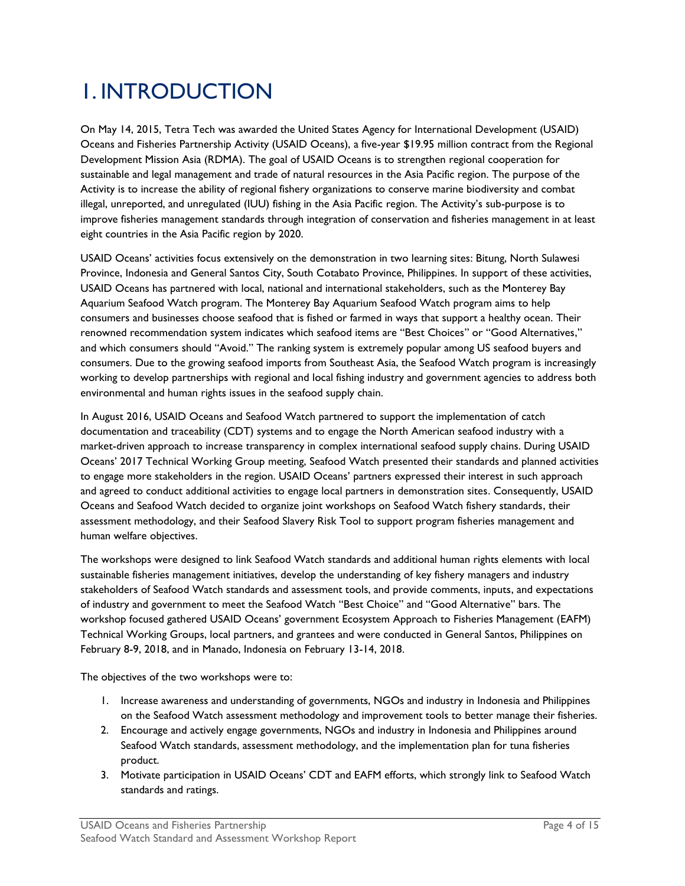## <span id="page-5-0"></span>1. INTRODUCTION

On May 14, 2015, Tetra Tech was awarded the United States Agency for International Development (USAID) Oceans and Fisheries Partnership Activity (USAID Oceans), a five-year \$19.95 million contract from the Regional Development Mission Asia (RDMA). The goal of USAID Oceans is to strengthen regional cooperation for sustainable and legal management and trade of natural resources in the Asia Pacific region. The purpose of the Activity is to increase the ability of regional fishery organizations to conserve marine biodiversity and combat illegal, unreported, and unregulated (IUU) fishing in the Asia Pacific region. The Activity's sub-purpose is to improve fisheries management standards through integration of conservation and fisheries management in at least eight countries in the Asia Pacific region by 2020.

USAID Oceans' activities focus extensively on the demonstration in two learning sites: Bitung, North Sulawesi Province, Indonesia and General Santos City, South Cotabato Province, Philippines. In support of these activities, USAID Oceans has partnered with local, national and international stakeholders, such as the Monterey Bay Aquarium Seafood Watch program. The Monterey Bay Aquarium Seafood Watch program aims to help consumers and businesses choose seafood that is fished or farmed in ways that support a healthy ocean. Their renowned recommendation system indicates which seafood items are "Best Choices" or "Good Alternatives," and which consumers should "Avoid." The ranking system is extremely popular among US seafood buyers and consumers. Due to the growing seafood imports from Southeast Asia, the Seafood Watch program is increasingly working to develop partnerships with regional and local fishing industry and government agencies to address both environmental and human rights issues in the seafood supply chain.

In August 2016, USAID Oceans and Seafood Watch partnered to support the implementation of catch documentation and traceability (CDT) systems and to engage the North American seafood industry with a market-driven approach to increase transparency in complex international seafood supply chains. During USAID Oceans' 2017 Technical Working Group meeting, Seafood Watch presented their standards and planned activities to engage more stakeholders in the region. USAID Oceans' partners expressed their interest in such approach and agreed to conduct additional activities to engage local partners in demonstration sites. Consequently, USAID Oceans and Seafood Watch decided to organize joint workshops on Seafood Watch fishery standards, their assessment methodology, and their Seafood Slavery Risk Tool to support program fisheries management and human welfare objectives.

The workshops were designed to link Seafood Watch standards and additional human rights elements with local sustainable fisheries management initiatives, develop the understanding of key fishery managers and industry stakeholders of Seafood Watch standards and assessment tools, and provide comments, inputs, and expectations of industry and government to meet the Seafood Watch "Best Choice" and "Good Alternative" bars. The workshop focused gathered USAID Oceans' government Ecosystem Approach to Fisheries Management (EAFM) Technical Working Groups, local partners, and grantees and were conducted in General Santos, Philippines on February 8-9, 2018, and in Manado, Indonesia on February 13-14, 2018.

The objectives of the two workshops were to:

- 1. Increase awareness and understanding of governments, NGOs and industry in Indonesia and Philippines on the Seafood Watch assessment methodology and improvement tools to better manage their fisheries.
- 2. Encourage and actively engage governments, NGOs and industry in Indonesia and Philippines around Seafood Watch standards, assessment methodology, and the implementation plan for tuna fisheries product.
- 3. Motivate participation in USAID Oceans' CDT and EAFM efforts, which strongly link to Seafood Watch standards and ratings.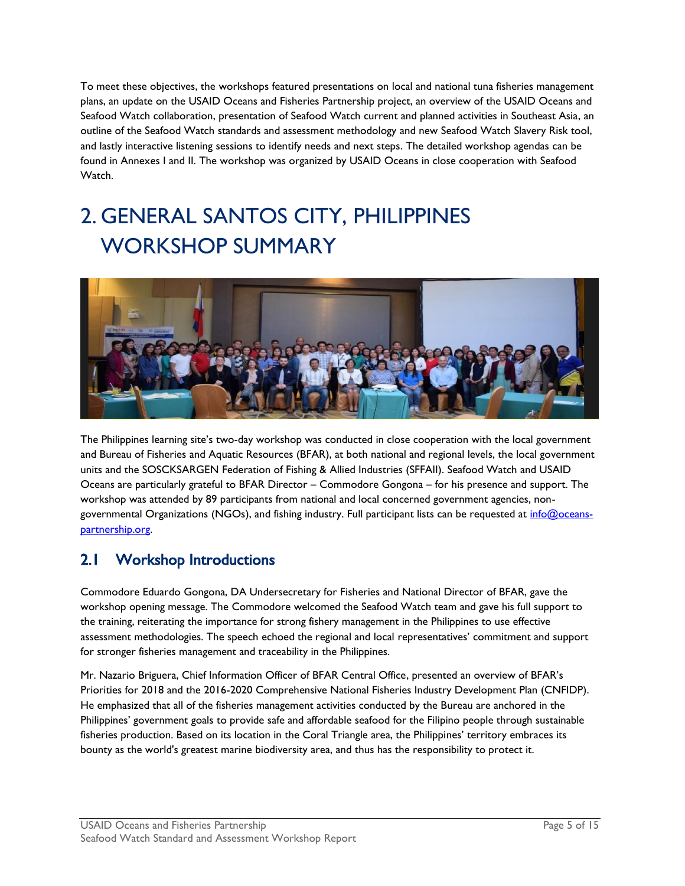To meet these objectives, the workshops featured presentations on local and national tuna fisheries management plans, an update on the USAID Oceans and Fisheries Partnership project, an overview of the USAID Oceans and Seafood Watch collaboration, presentation of Seafood Watch current and planned activities in Southeast Asia, an outline of the Seafood Watch standards and assessment methodology and new Seafood Watch Slavery Risk tool, and lastly interactive listening sessions to identify needs and next steps. The detailed workshop agendas can be found in Annexes I and II. The workshop was organized by USAID Oceans in close cooperation with Seafood Watch.

## <span id="page-6-0"></span>2. GENERAL SANTOS CITY, PHILIPPINES WORKSHOP SUMMARY



The Philippines learning site's two-day workshop was conducted in close cooperation with the local government and Bureau of Fisheries and Aquatic Resources (BFAR), at both national and regional levels, the local government units and the SOSCKSARGEN Federation of Fishing & Allied Industries (SFFAII). Seafood Watch and USAID Oceans are particularly grateful to BFAR Director – Commodore Gongona – for his presence and support. The workshop was attended by 89 participants from national and local concerned government agencies, nongovernmental Organizations (NGOs), and fishing industry. Full participant lists can be requested at [info@oceans](mailto:info@oceans-partnership.org)[partnership.org.](mailto:info@oceans-partnership.org) 

## <span id="page-6-1"></span>2.1 Workshop Introductions

Commodore Eduardo Gongona, DA Undersecretary for Fisheries and National Director of BFAR, gave the workshop opening message. The Commodore welcomed the Seafood Watch team and gave his full support to the training, reiterating the importance for strong fishery management in the Philippines to use effective assessment methodologies. The speech echoed the regional and local representatives' commitment and support for stronger fisheries management and traceability in the Philippines.

Mr. Nazario Briguera, Chief Information Officer of BFAR Central Office, presented an overview of BFAR's Priorities for 2018 and the 2016-2020 Comprehensive National Fisheries Industry Development Plan (CNFIDP). He emphasized that all of the fisheries management activities conducted by the Bureau are anchored in the Philippines' government goals to provide safe and affordable seafood for the Filipino people through sustainable fisheries production. Based on its location in the Coral Triangle area, the Philippines' territory embraces its bounty as the world's greatest marine biodiversity area, and thus has the responsibility to protect it.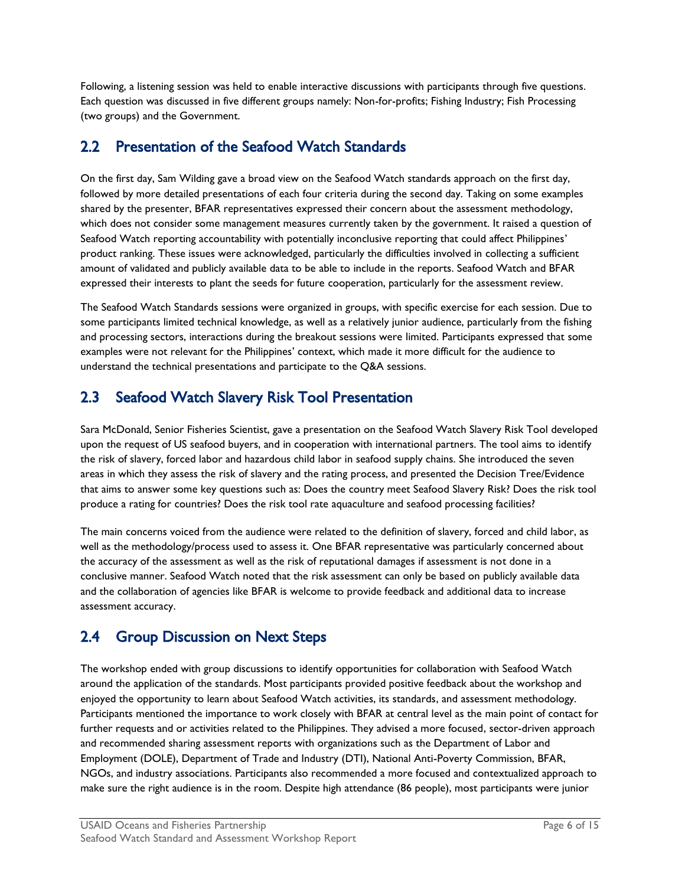Following, a listening session was held to enable interactive discussions with participants through five questions. Each question was discussed in five different groups namely: Non-for-profits; Fishing Industry; Fish Processing (two groups) and the Government.

### <span id="page-7-0"></span>2.2 Presentation of the Seafood Watch Standards

On the first day, Sam Wilding gave a broad view on the Seafood Watch standards approach on the first day, followed by more detailed presentations of each four criteria during the second day. Taking on some examples shared by the presenter, BFAR representatives expressed their concern about the assessment methodology, which does not consider some management measures currently taken by the government. It raised a question of Seafood Watch reporting accountability with potentially inconclusive reporting that could affect Philippines' product ranking. These issues were acknowledged, particularly the difficulties involved in collecting a sufficient amount of validated and publicly available data to be able to include in the reports. Seafood Watch and BFAR expressed their interests to plant the seeds for future cooperation, particularly for the assessment review.

The Seafood Watch Standards sessions were organized in groups, with specific exercise for each session. Due to some participants limited technical knowledge, as well as a relatively junior audience, particularly from the fishing and processing sectors, interactions during the breakout sessions were limited. Participants expressed that some examples were not relevant for the Philippines' context, which made it more difficult for the audience to understand the technical presentations and participate to the Q&A sessions.

### <span id="page-7-1"></span>2.3 Seafood Watch Slavery Risk Tool Presentation

Sara McDonald, Senior Fisheries Scientist, gave a presentation on the Seafood Watch Slavery Risk Tool developed upon the request of US seafood buyers, and in cooperation with international partners. The tool aims to identify the risk of slavery, forced labor and hazardous child labor in seafood supply chains. She introduced the seven areas in which they assess the risk of slavery and the rating process, and presented the Decision Tree/Evidence that aims to answer some key questions such as: Does the country meet Seafood Slavery Risk? Does the risk tool produce a rating for countries? Does the risk tool rate aquaculture and seafood processing facilities?

The main concerns voiced from the audience were related to the definition of slavery, forced and child labor, as well as the methodology/process used to assess it. One BFAR representative was particularly concerned about the accuracy of the assessment as well as the risk of reputational damages if assessment is not done in a conclusive manner. Seafood Watch noted that the risk assessment can only be based on publicly available data and the collaboration of agencies like BFAR is welcome to provide feedback and additional data to increase assessment accuracy.

### <span id="page-7-2"></span>2.4 Group Discussion on Next Steps

The workshop ended with group discussions to identify opportunities for collaboration with Seafood Watch around the application of the standards. Most participants provided positive feedback about the workshop and enjoyed the opportunity to learn about Seafood Watch activities, its standards, and assessment methodology. Participants mentioned the importance to work closely with BFAR at central level as the main point of contact for further requests and or activities related to the Philippines. They advised a more focused, sector-driven approach and recommended sharing assessment reports with organizations such as the Department of Labor and Employment (DOLE), Department of Trade and Industry (DTI), National Anti-Poverty Commission, BFAR, NGOs, and industry associations. Participants also recommended a more focused and contextualized approach to make sure the right audience is in the room. Despite high attendance (86 people), most participants were junior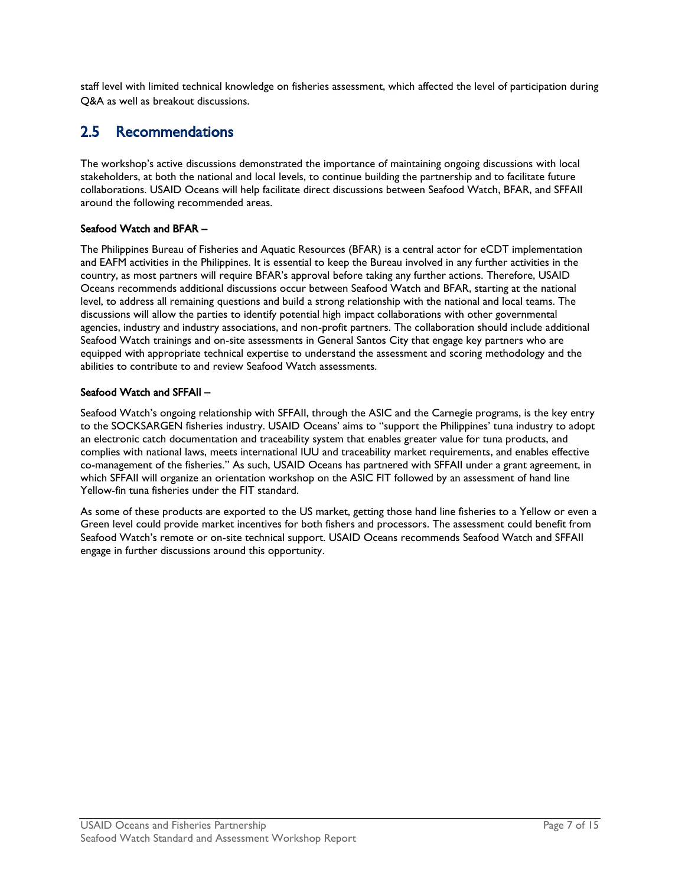staff level with limited technical knowledge on fisheries assessment, which affected the level of participation during Q&A as well as breakout discussions.

### <span id="page-8-0"></span>2.5 Recommendations

The workshop's active discussions demonstrated the importance of maintaining ongoing discussions with local stakeholders, at both the national and local levels, to continue building the partnership and to facilitate future collaborations. USAID Oceans will help facilitate direct discussions between Seafood Watch, BFAR, and SFFAII around the following recommended areas.

#### Seafood Watch and BFAR –

The Philippines Bureau of Fisheries and Aquatic Resources (BFAR) is a central actor for eCDT implementation and EAFM activities in the Philippines. It is essential to keep the Bureau involved in any further activities in the country, as most partners will require BFAR's approval before taking any further actions. Therefore, USAID Oceans recommends additional discussions occur between Seafood Watch and BFAR, starting at the national level, to address all remaining questions and build a strong relationship with the national and local teams. The discussions will allow the parties to identify potential high impact collaborations with other governmental agencies, industry and industry associations, and non-profit partners. The collaboration should include additional Seafood Watch trainings and on-site assessments in General Santos City that engage key partners who are equipped with appropriate technical expertise to understand the assessment and scoring methodology and the abilities to contribute to and review Seafood Watch assessments.

#### Seafood Watch and SFFAII –

Seafood Watch's ongoing relationship with SFFAII, through the ASIC and the Carnegie programs, is the key entry to the SOCKSARGEN fisheries industry. USAID Oceans' aims to "support the Philippines' tuna industry to adopt an electronic catch documentation and traceability system that enables greater value for tuna products, and complies with national laws, meets international IUU and traceability market requirements, and enables effective co-management of the fisheries." As such, USAID Oceans has partnered with SFFAII under a grant agreement, in which SFFAII will organize an orientation workshop on the ASIC FIT followed by an assessment of hand line Yellow-fin tuna fisheries under the FIT standard.

As some of these products are exported to the US market, getting those hand line fisheries to a Yellow or even a Green level could provide market incentives for both fishers and processors. The assessment could benefit from Seafood Watch's remote or on-site technical support. USAID Oceans recommends Seafood Watch and SFFAII engage in further discussions around this opportunity.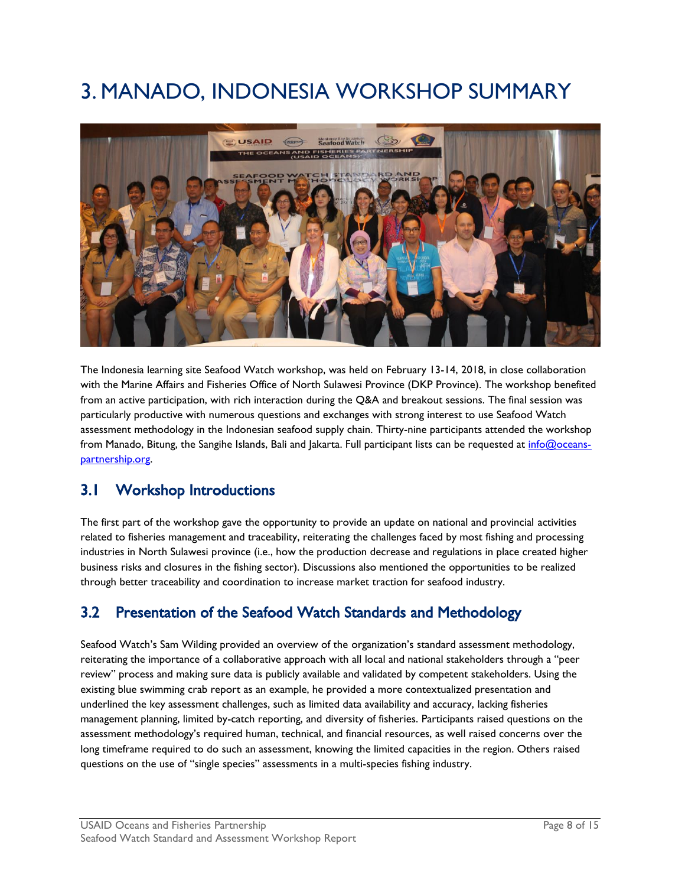## <span id="page-9-0"></span>3. MANADO, INDONESIA WORKSHOP SUMMARY



The Indonesia learning site Seafood Watch workshop, was held on February 13-14, 2018, in close collaboration with the Marine Affairs and Fisheries Office of North Sulawesi Province (DKP Province). The workshop benefited from an active participation, with rich interaction during the Q&A and breakout sessions. The final session was particularly productive with numerous questions and exchanges with strong interest to use Seafood Watch assessment methodology in the Indonesian seafood supply chain. Thirty-nine participants attended the workshop from Manado, Bitung, the Sangihe Islands, Bali and Jakarta. Full participant lists can be requested at [info@oceans](mailto:info@oceans-partnership.org)[partnership.org.](mailto:info@oceans-partnership.org)

### <span id="page-9-1"></span>3.1 Workshop Introductions

The first part of the workshop gave the opportunity to provide an update on national and provincial activities related to fisheries management and traceability, reiterating the challenges faced by most fishing and processing industries in North Sulawesi province (i.e., how the production decrease and regulations in place created higher business risks and closures in the fishing sector). Discussions also mentioned the opportunities to be realized through better traceability and coordination to increase market traction for seafood industry.

### <span id="page-9-2"></span>3.2 Presentation of the Seafood Watch Standards and Methodology

Seafood Watch's Sam Wilding provided an overview of the organization's standard assessment methodology, reiterating the importance of a collaborative approach with all local and national stakeholders through a "peer review" process and making sure data is publicly available and validated by competent stakeholders. Using the existing blue swimming crab report as an example, he provided a more contextualized presentation and underlined the key assessment challenges, such as limited data availability and accuracy, lacking fisheries management planning, limited by-catch reporting, and diversity of fisheries. Participants raised questions on the assessment methodology's required human, technical, and financial resources, as well raised concerns over the long timeframe required to do such an assessment, knowing the limited capacities in the region. Others raised questions on the use of "single species" assessments in a multi-species fishing industry.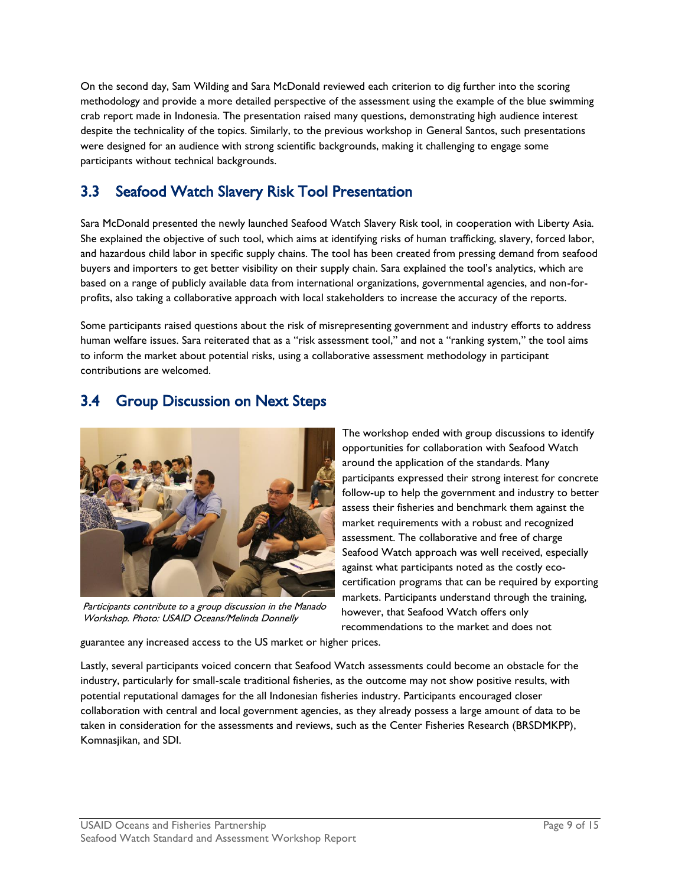On the second day, Sam Wilding and Sara McDonald reviewed each criterion to dig further into the scoring methodology and provide a more detailed perspective of the assessment using the example of the blue swimming crab report made in Indonesia. The presentation raised many questions, demonstrating high audience interest despite the technicality of the topics. Similarly, to the previous workshop in General Santos, such presentations were designed for an audience with strong scientific backgrounds, making it challenging to engage some participants without technical backgrounds.

### <span id="page-10-0"></span>3.3 Seafood Watch Slavery Risk Tool Presentation

Sara McDonald presented the newly launched Seafood Watch Slavery Risk tool, in cooperation with Liberty Asia. She explained the objective of such tool, which aims at identifying risks of human trafficking, slavery, forced labor, and hazardous child labor in specific supply chains. The tool has been created from pressing demand from seafood buyers and importers to get better visibility on their supply chain. Sara explained the tool's analytics, which are based on a range of publicly available data from international organizations, governmental agencies, and non-forprofits, also taking a collaborative approach with local stakeholders to increase the accuracy of the reports.

Some participants raised questions about the risk of misrepresenting government and industry efforts to address human welfare issues. Sara reiterated that as a "risk assessment tool," and not a "ranking system," the tool aims to inform the market about potential risks, using a collaborative assessment methodology in participant contributions are welcomed.

### <span id="page-10-1"></span>3.4 Group Discussion on Next Steps



Participants contribute to a group discussion in the Manado Workshop. Photo: USAID Oceans/Melinda Donnelly

The workshop ended with group discussions to identify opportunities for collaboration with Seafood Watch around the application of the standards. Many participants expressed their strong interest for concrete follow-up to help the government and industry to better assess their fisheries and benchmark them against the market requirements with a robust and recognized assessment. The collaborative and free of charge Seafood Watch approach was well received, especially against what participants noted as the costly ecocertification programs that can be required by exporting markets. Participants understand through the training, however, that Seafood Watch offers only recommendations to the market and does not

guarantee any increased access to the US market or higher prices.

Lastly, several participants voiced concern that Seafood Watch assessments could become an obstacle for the industry, particularly for small-scale traditional fisheries, as the outcome may not show positive results, with potential reputational damages for the all Indonesian fisheries industry. Participants encouraged closer collaboration with central and local government agencies, as they already possess a large amount of data to be taken in consideration for the assessments and reviews, such as the Center Fisheries Research (BRSDMKPP), Komnasjikan, and SDI.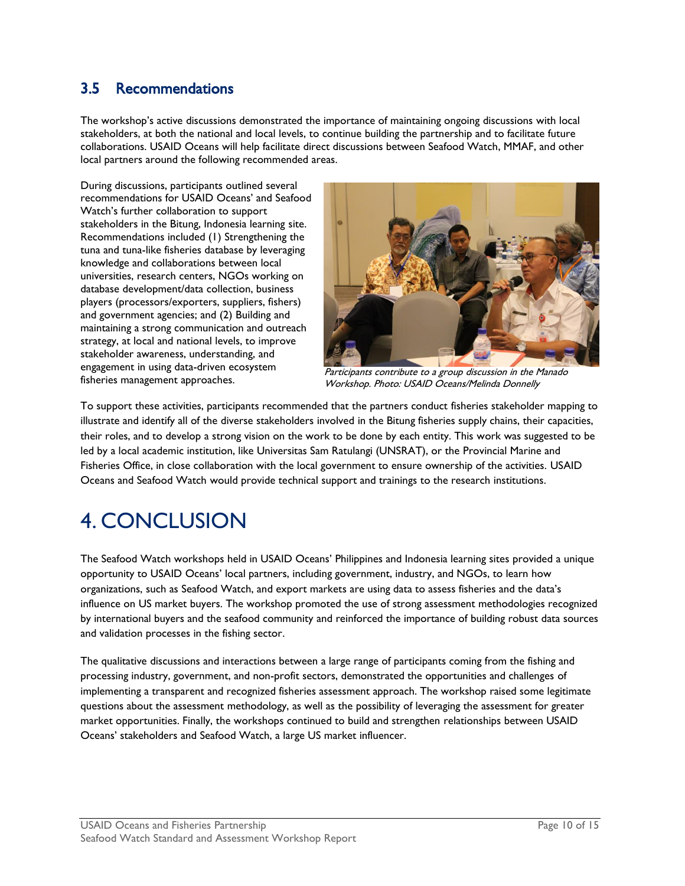## <span id="page-11-0"></span>3.5 Recommendations

The workshop's active discussions demonstrated the importance of maintaining ongoing discussions with local stakeholders, at both the national and local levels, to continue building the partnership and to facilitate future collaborations. USAID Oceans will help facilitate direct discussions between Seafood Watch, MMAF, and other local partners around the following recommended areas.

During discussions, participants outlined several recommendations for USAID Oceans' and Seafood Watch's further collaboration to support stakeholders in the Bitung, Indonesia learning site. Recommendations included (1) Strengthening the tuna and tuna-like fisheries database by leveraging knowledge and collaborations between local universities, research centers, NGOs working on database development/data collection, business players (processors/exporters, suppliers, fishers) and government agencies; and (2) Building and maintaining a strong communication and outreach strategy, at local and national levels, to improve stakeholder awareness, understanding, and engagement in using data-driven ecosystem fisheries management approaches.



Participants contribute to a group discussion in the Manado Workshop. Photo: USAID Oceans/Melinda Donnelly

To support these activities, participants recommended that the partners conduct fisheries stakeholder mapping to illustrate and identify all of the diverse stakeholders involved in the Bitung fisheries supply chains, their capacities, their roles, and to develop a strong vision on the work to be done by each entity. This work was suggested to be led by a local academic institution, like Universitas Sam Ratulangi (UNSRAT), or the Provincial Marine and Fisheries Office, in close collaboration with the local government to ensure ownership of the activities. USAID Oceans and Seafood Watch would provide technical support and trainings to the research institutions.

## <span id="page-11-1"></span>4. CONCLUSION

The Seafood Watch workshops held in USAID Oceans' Philippines and Indonesia learning sites provided a unique opportunity to USAID Oceans' local partners, including government, industry, and NGOs, to learn how organizations, such as Seafood Watch, and export markets are using data to assess fisheries and the data's influence on US market buyers. The workshop promoted the use of strong assessment methodologies recognized by international buyers and the seafood community and reinforced the importance of building robust data sources and validation processes in the fishing sector.

The qualitative discussions and interactions between a large range of participants coming from the fishing and processing industry, government, and non-profit sectors, demonstrated the opportunities and challenges of implementing a transparent and recognized fisheries assessment approach. The workshop raised some legitimate questions about the assessment methodology, as well as the possibility of leveraging the assessment for greater market opportunities. Finally, the workshops continued to build and strengthen relationships between USAID Oceans' stakeholders and Seafood Watch, a large US market influencer.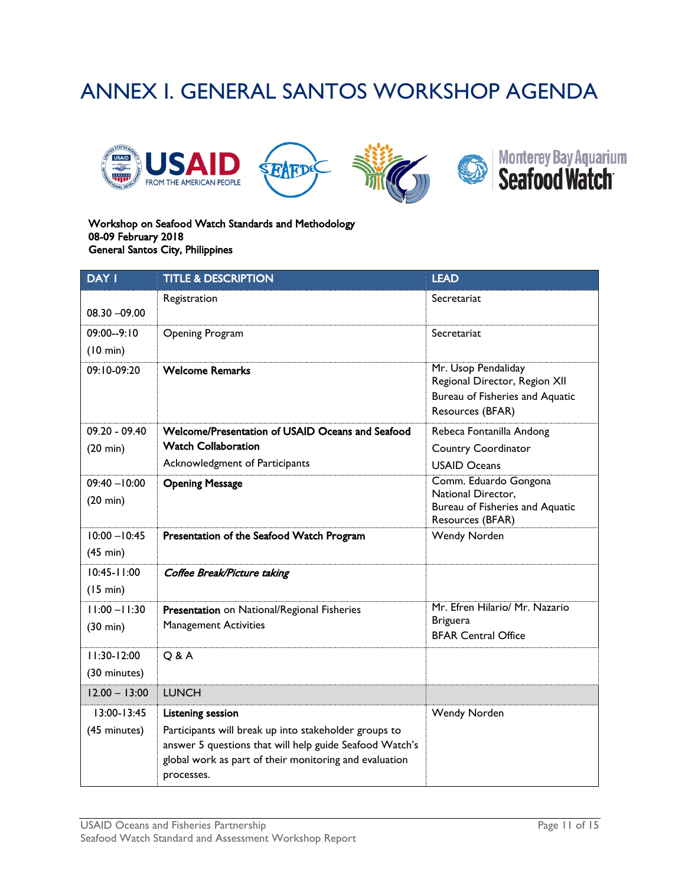## <span id="page-12-0"></span>ANNEX I. GENERAL SANTOS WORKSHOP AGENDA







#### Workshop on Seafood Watch Standards and Methodology 08-09 February 2018 General Santos City, Philippines

| <b>DAY I</b>                          | <b>TITLE &amp; DESCRIPTION</b>                                                                                                                                                           | <b>LEAD</b>                                                                                                 |
|---------------------------------------|------------------------------------------------------------------------------------------------------------------------------------------------------------------------------------------|-------------------------------------------------------------------------------------------------------------|
| $08.30 - 09.00$                       | Registration                                                                                                                                                                             | Secretariat                                                                                                 |
| 09:00--9:10<br>(10 min)               | <b>Opening Program</b>                                                                                                                                                                   | Secretariat                                                                                                 |
| $09:10-09:20$                         | <b>Welcome Remarks</b>                                                                                                                                                                   | Mr. Usop Pendaliday<br>Regional Director, Region XII<br>Bureau of Fisheries and Aquatic<br>Resources (BFAR) |
| $09.20 - 09.40$                       | Welcome/Presentation of USAID Oceans and Seafood                                                                                                                                         | Rebeca Fontanilla Andong                                                                                    |
| $(20 \text{ min})$                    | <b>Watch Collaboration</b>                                                                                                                                                               | <b>Country Coordinator</b>                                                                                  |
|                                       | Acknowledgment of Participants                                                                                                                                                           | <b>USAID Oceans</b>                                                                                         |
| $09:40 - 10:00$<br>$(20 \text{ min})$ | <b>Opening Message</b>                                                                                                                                                                   | Comm. Eduardo Gongona<br>National Director,<br>Bureau of Fisheries and Aquatic<br>Resources (BFAR)          |
| $10:00 - 10:45$<br>(45 min)           | Presentation of the Seafood Watch Program                                                                                                                                                | Wendy Norden                                                                                                |
| $10:45 - 11:00$<br>(15 min)           | Coffee Break/Picture taking                                                                                                                                                              |                                                                                                             |
| $11:00 - 11:30$<br>$(30 \text{ min})$ | Presentation on National/Regional Fisheries<br><b>Management Activities</b>                                                                                                              | Mr. Efren Hilario/ Mr. Nazario<br><b>Briguera</b><br><b>BFAR Central Office</b>                             |
| $11:30-12:00$<br>(30 minutes)         | Q & A                                                                                                                                                                                    |                                                                                                             |
| $12.00 - 13:00$                       | <b>LUNCH</b>                                                                                                                                                                             |                                                                                                             |
| 13:00-13:45                           | <b>Listening session</b>                                                                                                                                                                 | Wendy Norden                                                                                                |
| (45 minutes)                          | Participants will break up into stakeholder groups to<br>answer 5 questions that will help guide Seafood Watch's<br>global work as part of their monitoring and evaluation<br>processes. |                                                                                                             |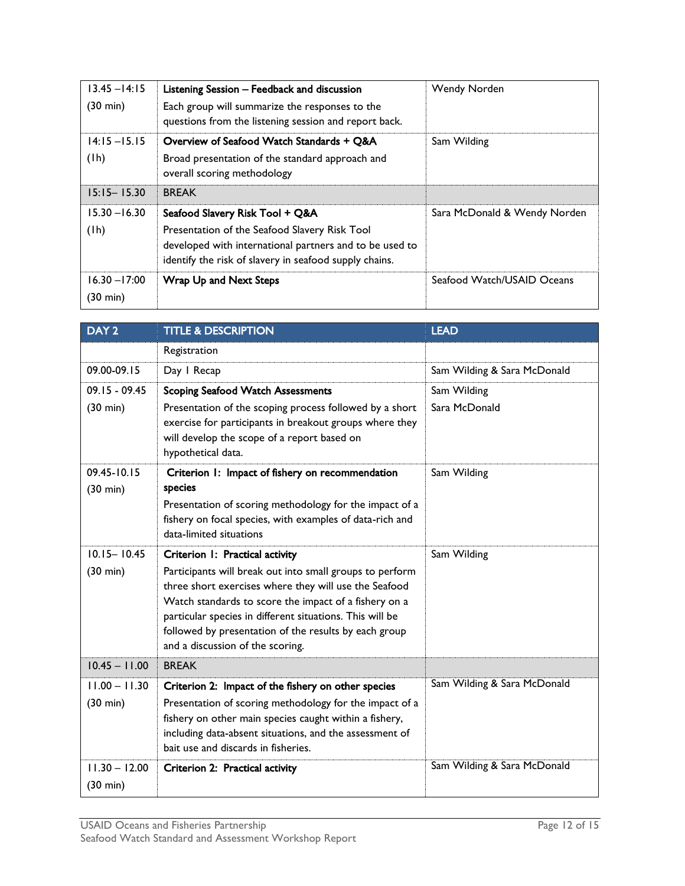| $13.45 - 14:15$<br>$(30 \text{ min})$ | Listening Session - Feedback and discussion<br>Each group will summarize the responses to the<br>questions from the listening session and report back.                                                | Wendy Norden                 |
|---------------------------------------|-------------------------------------------------------------------------------------------------------------------------------------------------------------------------------------------------------|------------------------------|
| $14:15 - 15.15$<br>(lh)               | Overview of Seafood Watch Standards + Q&A<br>Broad presentation of the standard approach and<br>overall scoring methodology                                                                           | Sam Wilding                  |
| $15:15 - 15.30$                       | <b>BREAK</b>                                                                                                                                                                                          |                              |
| $15.30 - 16.30$<br>(lh)               | Seafood Slavery Risk Tool + Q&A<br>Presentation of the Seafood Slavery Risk Tool<br>developed with international partners and to be used to<br>identify the risk of slavery in seafood supply chains. | Sara McDonald & Wendy Norden |
| $16.30 - 17:00$<br>$(30 \text{ min})$ | Wrap Up and Next Steps                                                                                                                                                                                | Seafood Watch/USAID Oceans   |

| DAY <sub>2</sub>                      | <b>TITLE &amp; DESCRIPTION</b>                                                                                                                                                                                                                                                                                                      | <b>LEAD</b>                 |
|---------------------------------------|-------------------------------------------------------------------------------------------------------------------------------------------------------------------------------------------------------------------------------------------------------------------------------------------------------------------------------------|-----------------------------|
|                                       | Registration                                                                                                                                                                                                                                                                                                                        |                             |
| 09.00-09.15                           | Day I Recap                                                                                                                                                                                                                                                                                                                         | Sam Wilding & Sara McDonald |
| $09.15 - 09.45$                       | <b>Scoping Seafood Watch Assessments</b>                                                                                                                                                                                                                                                                                            | Sam Wilding                 |
| $(30 \text{ min})$                    | Presentation of the scoping process followed by a short<br>exercise for participants in breakout groups where they<br>will develop the scope of a report based on<br>hypothetical data.                                                                                                                                             | Sara McDonald               |
| 09.45-10.15                           | Criterion 1: Impact of fishery on recommendation                                                                                                                                                                                                                                                                                    | Sam Wilding                 |
| $(30 \text{ min})$                    | species                                                                                                                                                                                                                                                                                                                             |                             |
|                                       | Presentation of scoring methodology for the impact of a<br>fishery on focal species, with examples of data-rich and<br>data-limited situations                                                                                                                                                                                      |                             |
| $10.15 - 10.45$                       | Criterion I: Practical activity                                                                                                                                                                                                                                                                                                     | Sam Wilding                 |
| $(30 \text{ min})$                    | Participants will break out into small groups to perform<br>three short exercises where they will use the Seafood<br>Watch standards to score the impact of a fishery on a<br>particular species in different situations. This will be<br>followed by presentation of the results by each group<br>and a discussion of the scoring. |                             |
| $10.45 - 11.00$                       | <b>BREAK</b>                                                                                                                                                                                                                                                                                                                        |                             |
| $11.00 - 11.30$                       | Criterion 2: Impact of the fishery on other species                                                                                                                                                                                                                                                                                 | Sam Wilding & Sara McDonald |
| (30 min)                              | Presentation of scoring methodology for the impact of a<br>fishery on other main species caught within a fishery,<br>including data-absent situations, and the assessment of<br>bait use and discards in fisheries.                                                                                                                 |                             |
| $11.30 - 12.00$<br>$(30 \text{ min})$ | Criterion 2: Practical activity                                                                                                                                                                                                                                                                                                     | Sam Wilding & Sara McDonald |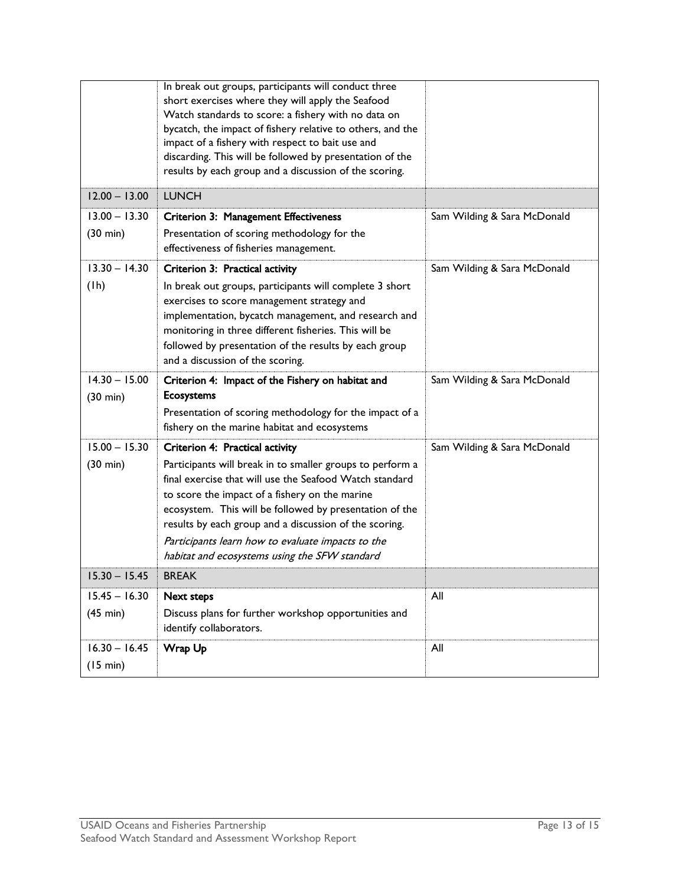|                                       | In break out groups, participants will conduct three<br>short exercises where they will apply the Seafood<br>Watch standards to score: a fishery with no data on<br>bycatch, the impact of fishery relative to others, and the<br>impact of a fishery with respect to bait use and<br>discarding. This will be followed by presentation of the<br>results by each group and a discussion of the scoring.                             |                             |
|---------------------------------------|--------------------------------------------------------------------------------------------------------------------------------------------------------------------------------------------------------------------------------------------------------------------------------------------------------------------------------------------------------------------------------------------------------------------------------------|-----------------------------|
| $12.00 - 13.00$                       | <b>LUNCH</b>                                                                                                                                                                                                                                                                                                                                                                                                                         |                             |
| $13.00 - 13.30$<br>$(30 \text{ min})$ | <b>Criterion 3: Management Effectiveness</b><br>Presentation of scoring methodology for the<br>effectiveness of fisheries management.                                                                                                                                                                                                                                                                                                | Sam Wilding & Sara McDonald |
| $13.30 - 14.30$<br>(1h)               | Criterion 3: Practical activity<br>In break out groups, participants will complete 3 short<br>exercises to score management strategy and<br>implementation, bycatch management, and research and<br>monitoring in three different fisheries. This will be<br>followed by presentation of the results by each group<br>and a discussion of the scoring.                                                                               | Sam Wilding & Sara McDonald |
| $14.30 - 15.00$<br>(30 min)           | Criterion 4: Impact of the Fishery on habitat and<br><b>Ecosystems</b><br>Presentation of scoring methodology for the impact of a<br>fishery on the marine habitat and ecosystems                                                                                                                                                                                                                                                    | Sam Wilding & Sara McDonald |
| $15.00 - 15.30$<br>(30 min)           | Criterion 4: Practical activity<br>Participants will break in to smaller groups to perform a<br>final exercise that will use the Seafood Watch standard<br>to score the impact of a fishery on the marine<br>ecosystem. This will be followed by presentation of the<br>results by each group and a discussion of the scoring.<br>Participants learn how to evaluate impacts to the<br>habitat and ecosystems using the SFW standard | Sam Wilding & Sara McDonald |
| $15.30 - 15.45$                       | <b>BREAK</b>                                                                                                                                                                                                                                                                                                                                                                                                                         |                             |
| $15.45 - 16.30$<br>$(45 \text{ min})$ | <b>Next steps</b><br>Discuss plans for further workshop opportunities and<br>identify collaborators.                                                                                                                                                                                                                                                                                                                                 | All                         |
| $16.30 - 16.45$<br>(15 min)           | Wrap Up                                                                                                                                                                                                                                                                                                                                                                                                                              | All                         |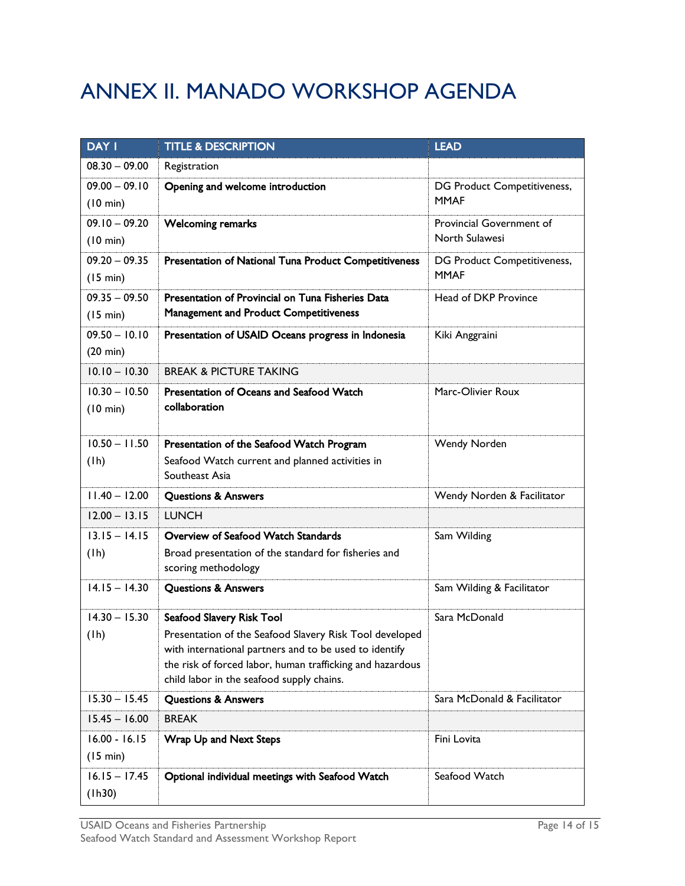## <span id="page-15-0"></span>ANNEX II. MANADO WORKSHOP AGENDA

| <b>DAY I</b>                          | <b>TITLE &amp; DESCRIPTION</b>                                                                         | <b>LEAD</b>                                |
|---------------------------------------|--------------------------------------------------------------------------------------------------------|--------------------------------------------|
| $08.30 - 09.00$                       | Registration                                                                                           |                                            |
| $09.00 - 09.10$                       | Opening and welcome introduction                                                                       | DG Product Competitiveness,                |
| (10 min)                              |                                                                                                        | <b>MMAF</b>                                |
| $09.10 - 09.20$                       | <b>Welcoming remarks</b>                                                                               | Provincial Government of                   |
| (10 min)                              |                                                                                                        | North Sulawesi                             |
| $09.20 - 09.35$                       | Presentation of National Tuna Product Competitiveness                                                  | DG Product Competitiveness,<br><b>MMAF</b> |
| (15 min)                              |                                                                                                        |                                            |
| $09.35 - 09.50$                       | Presentation of Provincial on Tuna Fisheries Data<br><b>Management and Product Competitiveness</b>     | Head of DKP Province                       |
| (15 min)                              |                                                                                                        |                                            |
| $09.50 - 10.10$<br>$(20 \text{ min})$ | Presentation of USAID Oceans progress in Indonesia                                                     | Kiki Anggraini                             |
| $10.10 - 10.30$                       | <b>BREAK &amp; PICTURE TAKING</b>                                                                      |                                            |
|                                       |                                                                                                        |                                            |
| $10.30 - 10.50$<br>(10 min)           | <b>Presentation of Oceans and Seafood Watch</b><br>collaboration                                       | Marc-Olivier Roux                          |
|                                       |                                                                                                        |                                            |
| $10.50 - 11.50$                       | Presentation of the Seafood Watch Program                                                              | Wendy Norden                               |
| (1h)                                  | Seafood Watch current and planned activities in                                                        |                                            |
|                                       | Southeast Asia                                                                                         |                                            |
| $11.40 - 12.00$                       | <b>Questions &amp; Answers</b>                                                                         | Wendy Norden & Facilitator                 |
| $12.00 - 13.15$                       | <b>LUNCH</b>                                                                                           |                                            |
| $13.15 - 14.15$                       | Overview of Seafood Watch Standards                                                                    | Sam Wilding                                |
| (1h)                                  | Broad presentation of the standard for fisheries and                                                   |                                            |
|                                       | scoring methodology                                                                                    |                                            |
| $14.15 - 14.30$                       | <b>Questions &amp; Answers</b>                                                                         | Sam Wilding & Facilitator                  |
| $14.30 - 15.30$                       | Seafood Slavery Risk Tool                                                                              | Sara McDonald                              |
| (lh)                                  | Presentation of the Seafood Slavery Risk Tool developed                                                |                                            |
|                                       | with international partners and to be used to identify                                                 |                                            |
|                                       | the risk of forced labor, human trafficking and hazardous<br>child labor in the seafood supply chains. |                                            |
| $15.30 - 15.45$                       | <b>Questions &amp; Answers</b>                                                                         | Sara McDonald & Facilitator                |
| $15.45 - 16.00$                       | <b>BREAK</b>                                                                                           |                                            |
| $16.00 - 16.15$                       | Wrap Up and Next Steps                                                                                 | Fini Lovita                                |
| (15 min)                              |                                                                                                        |                                            |
| $16.15 - 17.45$                       | Optional individual meetings with Seafood Watch                                                        | Seafood Watch                              |
| (1h30)                                |                                                                                                        |                                            |